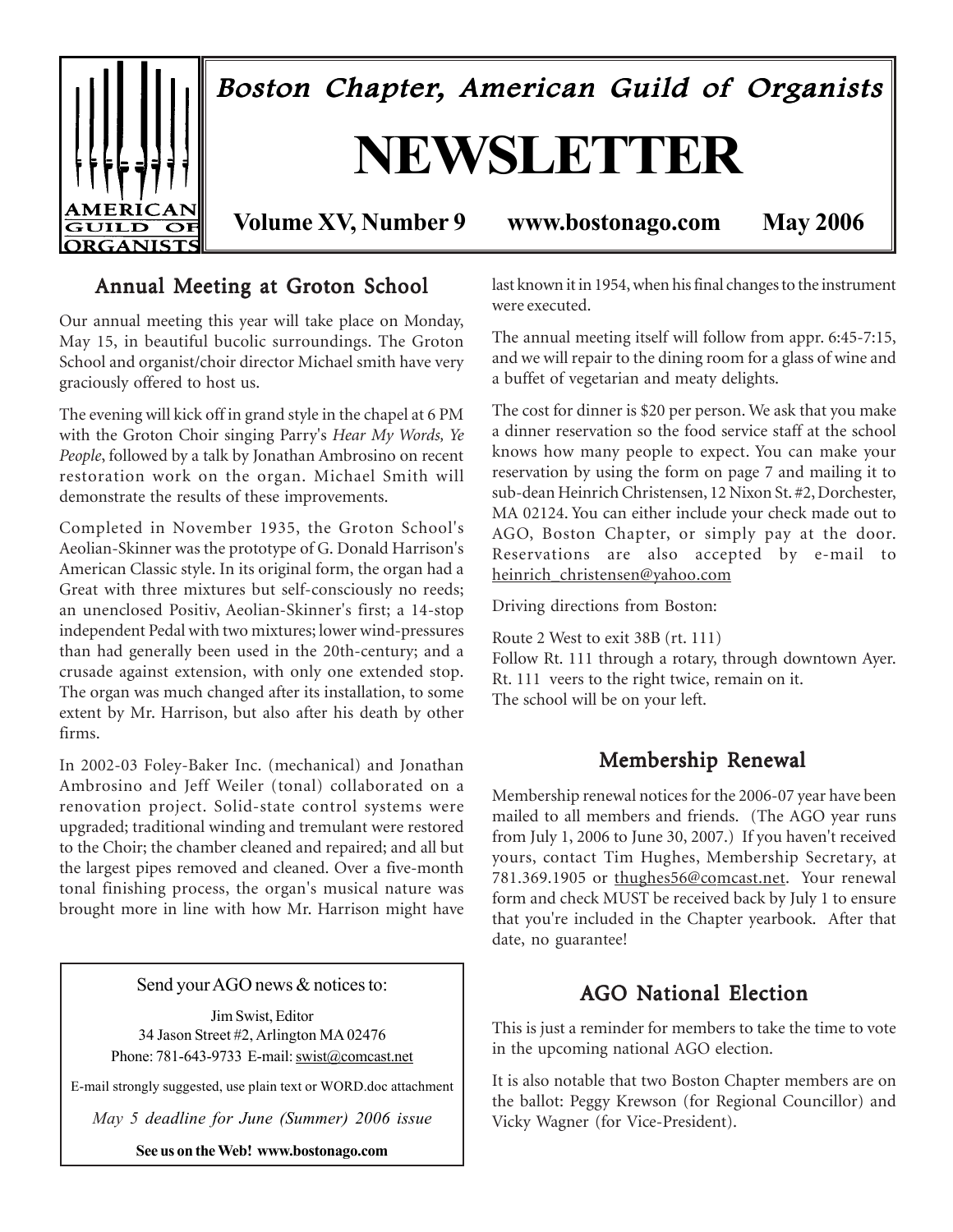

# Annual Meeting at Groton School

Our annual meeting this year will take place on Monday, May 15, in beautiful bucolic surroundings. The Groton School and organist/choir director Michael smith have very graciously offered to host us.

The evening will kick off in grand style in the chapel at 6 PM with the Groton Choir singing Parry's *Hear My Words, Ye People*, followed by a talk by Jonathan Ambrosino on recent restoration work on the organ. Michael Smith will demonstrate the results of these improvements.

Completed in November 1935, the Groton School's Aeolian-Skinner was the prototype of G. Donald Harrison's American Classic style. In its original form, the organ had a Great with three mixtures but self-consciously no reeds; an unenclosed Positiv, Aeolian-Skinner's first; a 14-stop independent Pedal with two mixtures; lower wind-pressures than had generally been used in the 20th-century; and a crusade against extension, with only one extended stop. The organ was much changed after its installation, to some extent by Mr. Harrison, but also after his death by other firms.

In 2002-03 Foley-Baker Inc. (mechanical) and Jonathan Ambrosino and Jeff Weiler (tonal) collaborated on a renovation project. Solid-state control systems were upgraded; traditional winding and tremulant were restored to the Choir; the chamber cleaned and repaired; and all but the largest pipes removed and cleaned. Over a five-month tonal finishing process, the organ's musical nature was brought more in line with how Mr. Harrison might have

Send your AGO news & notices to:

Jim Swist, Editor 34 Jason Street #2, Arlington MA 02476 Phone: 781-643-9733 E-mail: swist@comcast.net

E-mail strongly suggested, use plain text or WORD.doc attachment

*May 5 deadline for June (Summer) 2006 issue*

**See us on the Web! www.bostonago.com**

last known it in 1954, when his final changes to the instrument were executed.

The annual meeting itself will follow from appr. 6:45-7:15, and we will repair to the dining room for a glass of wine and a buffet of vegetarian and meaty delights.

The cost for dinner is \$20 per person. We ask that you make a dinner reservation so the food service staff at the school knows how many people to expect. You can make your reservation by using the form on page 7 and mailing it to sub-dean Heinrich Christensen, 12 Nixon St. #2, Dorchester, MA 02124. You can either include your check made out to AGO, Boston Chapter, or simply pay at the door. Reservations are also accepted by e-mail to heinrich\_christensen@yahoo.com

Driving directions from Boston:

Route 2 West to exit 38B (rt. 111) Follow Rt. 111 through a rotary, through downtown Ayer. Rt. 111 veers to the right twice, remain on it. The school will be on your left.

# Membership Renewal

Membership renewal notices for the 2006-07 year have been mailed to all members and friends. (The AGO year runs from July 1, 2006 to June 30, 2007.) If you haven't received yours, contact Tim Hughes, Membership Secretary, at 781.369.1905 or thughes56@comcast.net. Your renewal form and check MUST be received back by July 1 to ensure that you're included in the Chapter yearbook. After that date, no guarantee!

# **AGO National Election**

This is just a reminder for members to take the time to vote in the upcoming national AGO election.

It is also notable that two Boston Chapter members are on the ballot: Peggy Krewson (for Regional Councillor) and Vicky Wagner (for Vice-President).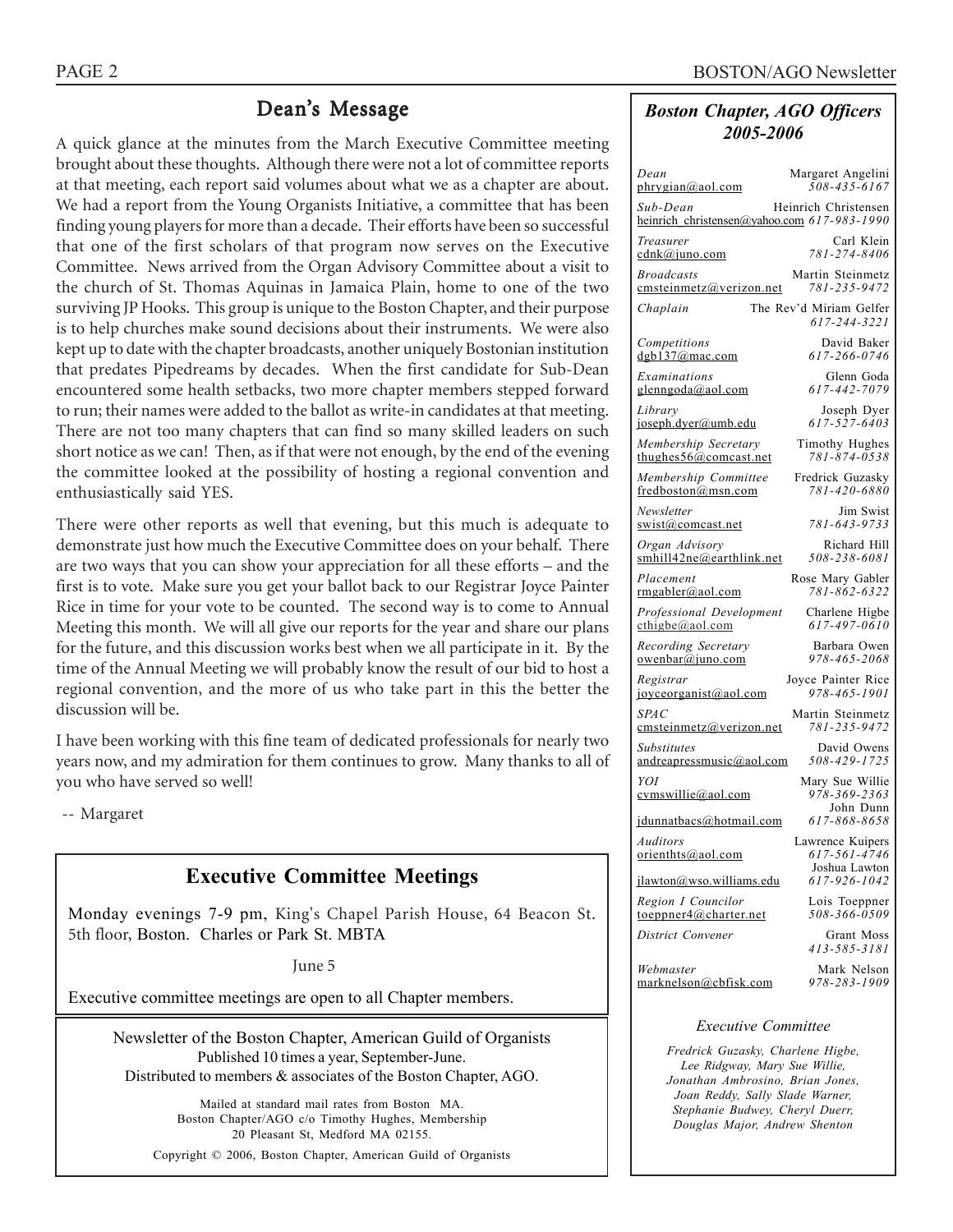# Dean's Message

A quick glance at the minutes from the March Executive Committee meeting brought about these thoughts. Although there were not a lot of committee reports at that meeting, each report said volumes about what we as a chapter are about. We had a report from the Young Organists Initiative, a committee that has been finding young players for more than a decade. Their efforts have been so successful that one of the first scholars of that program now serves on the Executive Committee. News arrived from the Organ Advisory Committee about a visit to the church of St. Thomas Aquinas in Jamaica Plain, home to one of the two surviving JP Hooks. This group is unique to the Boston Chapter, and their purpose is to help churches make sound decisions about their instruments. We were also kept up to date with the chapter broadcasts, another uniquely Bostonian institution that predates Pipedreams by decades. When the first candidate for Sub-Dean encountered some health setbacks, two more chapter members stepped forward to run; their names were added to the ballot as write-in candidates at that meeting. There are not too many chapters that can find so many skilled leaders on such short notice as we can! Then, as if that were not enough, by the end of the evening the committee looked at the possibility of hosting a regional convention and enthusiastically said YES.

There were other reports as well that evening, but this much is adequate to demonstrate just how much the Executive Committee does on your behalf. There are two ways that you can show your appreciation for all these efforts  $-$  and the first is to vote. Make sure you get your ballot back to our Registrar Joyce Painter Rice in time for your vote to be counted. The second way is to come to Annual Meeting this month. We will all give our reports for the year and share our plans for the future, and this discussion works best when we all participate in it. By the time of the Annual Meeting we will probably know the result of our bid to host a regional convention, and the more of us who take part in this the better the discussion will be.

I have been working with this fine team of dedicated professionals for nearly two years now, and my admiration for them continues to grow. Many thanks to all of you who have served so well!

-- Margaret

# **Executive Committee Meetings**

Monday evenings 7-9 pm, King's Chapel Parish House, 64 Beacon St. 5th floor, Boston. Charles or Park St. MBTA

June 5

Executive committee meetings are open to all Chapter members.

Newsletter of the Boston Chapter, American Guild of Organists Published 10 times a year, September-June. Distributed to members & associates of the Boston Chapter, AGO.

Mailed at standard mail rates from Boston MA. Boston Chapter/AGO c/o Timothy Hughes, Membership 20 Pleasant St, Medford MA 02155.

Copyright © 2006, Boston Chapter, American Guild of Organists

### *Boston Chapter, AGO Officers 2005-2006*

| Dean<br>phrygian@aol.com                                | Margaret Angelini<br>508-435-6167                 |
|---------------------------------------------------------|---------------------------------------------------|
| Sub-Dean<br>heinrich_christensen@yahoo.com 617-983-1990 | Heinrich Christensen                              |
| Treasurer<br>cdnk@juno.com                              | Carl Klein<br>781-274-8406                        |
| <b>Broadcasts</b><br>emsteinmetz@verizon.net            | Martin Steinmetz<br>781-235-9472                  |
| Chaplain                                                | The Rev'd Miriam Gelfer<br>617-244-3221           |
| Competitions<br>dgb137@mac.com                          | David Baker<br>617-266-0746                       |
| Examinations<br>glenngoda@aol.com                       | Glenn Goda<br>617-442-7079                        |
| Library<br>joseph.dyer@umb.edu                          | Joseph Dyer<br>$617 - 527 - 6403$                 |
| Membership Secretary<br>thughes $56$ @comcast.net       | Timothy Hughes<br>781-874-0538                    |
| Membership Committee<br>fredboston@msn.com              | Fredrick Guzasky<br>781-420-6880                  |
| Newsletter<br>swist@comcast.net                         | Jim Swist<br>781-643-9733                         |
| Organ Advisory<br>smhill42ne@earthlink.net              | Richard Hill<br>508-238-6081                      |
| Placement<br>rmgabler@aol.com                           | Rose Mary Gabler<br>781-862-6322                  |
| Professional Development<br>cthigbe@aol.com             | Charlene Higbe<br>617-497-0610                    |
| Recording Secretary<br>owenbar@juno.com                 | Barbara Owen<br>978-465-2068                      |
| Registrar<br>joyceorganist@aol.com                      | Joyce Painter Rice<br>978-465-1901                |
| <i>SPAC</i><br>emsteinmetz@verizon.net                  | Martin Steinmetz<br>781-235-9472                  |
| <i>Substitutes</i><br>andreapressmusic@aol.com          | David Owens<br>508-429-1725                       |
| YOI<br>cymswillie@aol.com                               | Mary Sue Willie<br>978-369-2363<br>John Dunn      |
| jdunnatbacs@hotmail.com                                 | 617-868-8658                                      |
| Auditors<br>orienthts@aol.com                           | Lawrence Kuipers<br>617-561-4746<br>Joshua Lawton |
| jlawton@wso.williams.edu                                | 617-926-1042                                      |
| Region I Councilor<br>toeppner4@charter.net             | Lois Toeppner<br>508-366-0509                     |
| District Convener                                       | Grant Moss<br>413-585-3181                        |
| Webmaster<br>marknelson@cbfisk.com                      | Mark Nelson<br>978-283-1909                       |
|                                                         |                                                   |

#### *Executive Committee*

*Fredrick Guzasky, Charlene Higbe, Lee Ridgway, Mary Sue Willie, Jonathan Ambrosino, Brian Jones, Joan Reddy, Sally Slade Warner, Stephanie Budwey, Cheryl Duerr, Douglas Major, Andrew Shenton*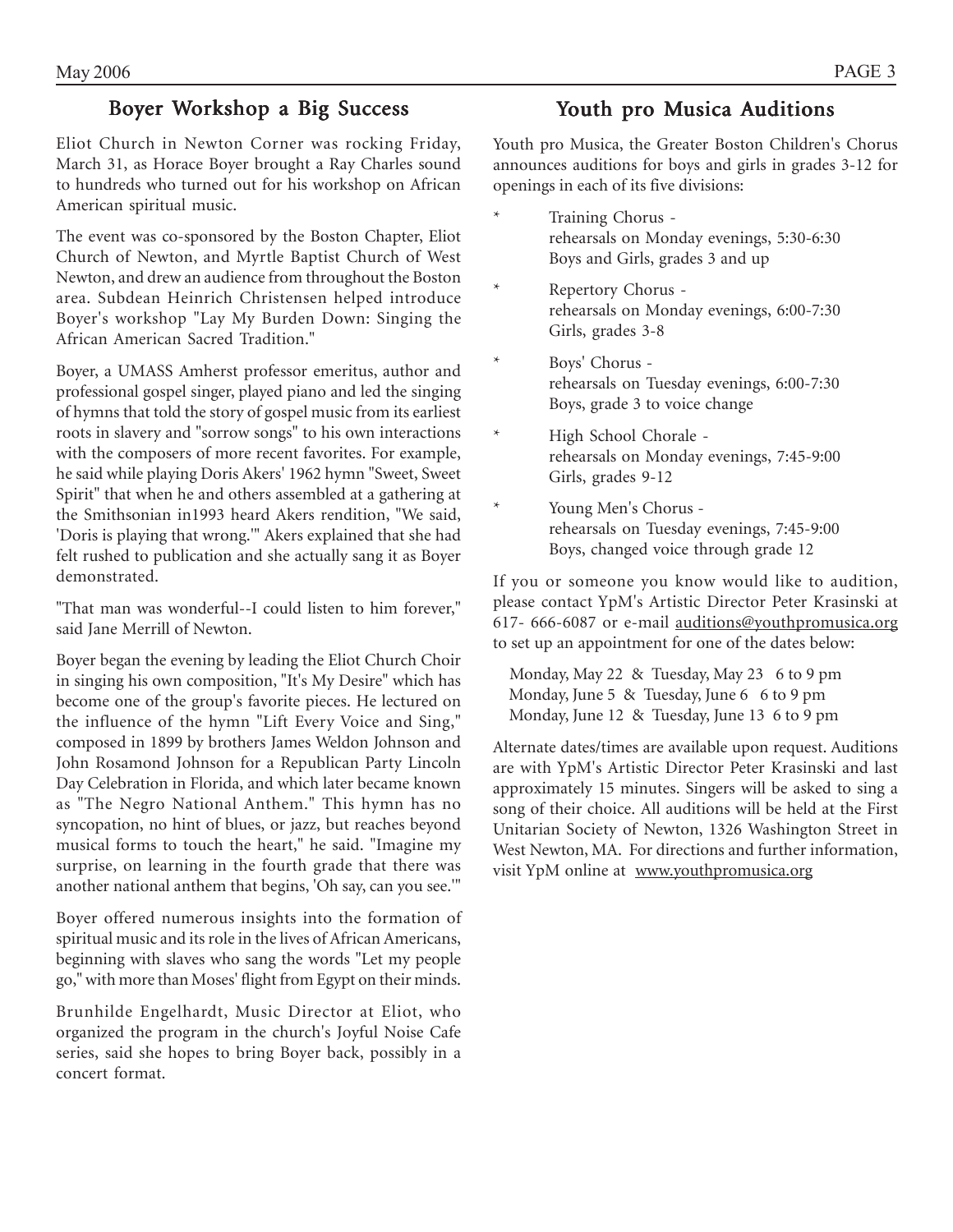# Boyer Workshop a Big Success

Eliot Church in Newton Corner was rocking Friday, March 31, as Horace Boyer brought a Ray Charles sound to hundreds who turned out for his workshop on African American spiritual music.

The event was co-sponsored by the Boston Chapter, Eliot Church of Newton, and Myrtle Baptist Church of West Newton, and drew an audience from throughout the Boston area. Subdean Heinrich Christensen helped introduce Boyer's workshop "Lay My Burden Down: Singing the African American Sacred Tradition."

Boyer, a UMASS Amherst professor emeritus, author and professional gospel singer, played piano and led the singing of hymns that told the story of gospel music from its earliest roots in slavery and "sorrow songs" to his own interactions with the composers of more recent favorites. For example, he said while playing Doris Akers' 1962 hymn "Sweet, Sweet Spirit" that when he and others assembled at a gathering at the Smithsonian in1993 heard Akers rendition, "We said, 'Doris is playing that wrong.'" Akers explained that she had felt rushed to publication and she actually sang it as Boyer demonstrated.

"That man was wonderful--I could listen to him forever," said Jane Merrill of Newton.

Boyer began the evening by leading the Eliot Church Choir in singing his own composition, "It's My Desire" which has become one of the group's favorite pieces. He lectured on the influence of the hymn "Lift Every Voice and Sing," composed in 1899 by brothers James Weldon Johnson and John Rosamond Johnson for a Republican Party Lincoln Day Celebration in Florida, and which later became known as "The Negro National Anthem." This hymn has no syncopation, no hint of blues, or jazz, but reaches beyond musical forms to touch the heart," he said. "Imagine my surprise, on learning in the fourth grade that there was another national anthem that begins, 'Oh say, can you see.'"

Boyer offered numerous insights into the formation of spiritual music and its role in the lives of African Americans, beginning with slaves who sang the words "Let my people go," with more than Moses' flight from Egypt on their minds.

Brunhilde Engelhardt, Music Director at Eliot, who organized the program in the church's Joyful Noise Cafe series, said she hopes to bring Boyer back, possibly in a concert format.

# Youth pro Musica Auditions

Youth pro Musica, the Greater Boston Children's Chorus announces auditions for boys and girls in grades 3-12 for openings in each of its five divisions:

- Training Chorus rehearsals on Monday evenings, 5:30-6:30 Boys and Girls, grades 3 and up
- Repertory Chorus rehearsals on Monday evenings, 6:00-7:30 Girls, grades 3-8
- Boys' Chorus rehearsals on Tuesday evenings, 6:00-7:30 Boys, grade 3 to voice change
- \* High School Chorale rehearsals on Monday evenings, 7:45-9:00 Girls, grades 9-12
- \* Young Men's Chorus rehearsals on Tuesday evenings, 7:45-9:00 Boys, changed voice through grade 12

If you or someone you know would like to audition, please contact YpM's Artistic Director Peter Krasinski at 617- 666-6087 or e-mail auditions@youthpromusica.org to set up an appointment for one of the dates below:

 Monday, May 22 & Tuesday, May 23 6 to 9 pm Monday, June 5 & Tuesday, June 6 6 to 9 pm Monday, June 12 & Tuesday, June 13 6 to 9 pm

Alternate dates/times are available upon request. Auditions are with YpM's Artistic Director Peter Krasinski and last approximately 15 minutes. Singers will be asked to sing a song of their choice. All auditions will be held at the First Unitarian Society of Newton, 1326 Washington Street in West Newton, MA. For directions and further information, visit YpM online at www.youthpromusica.org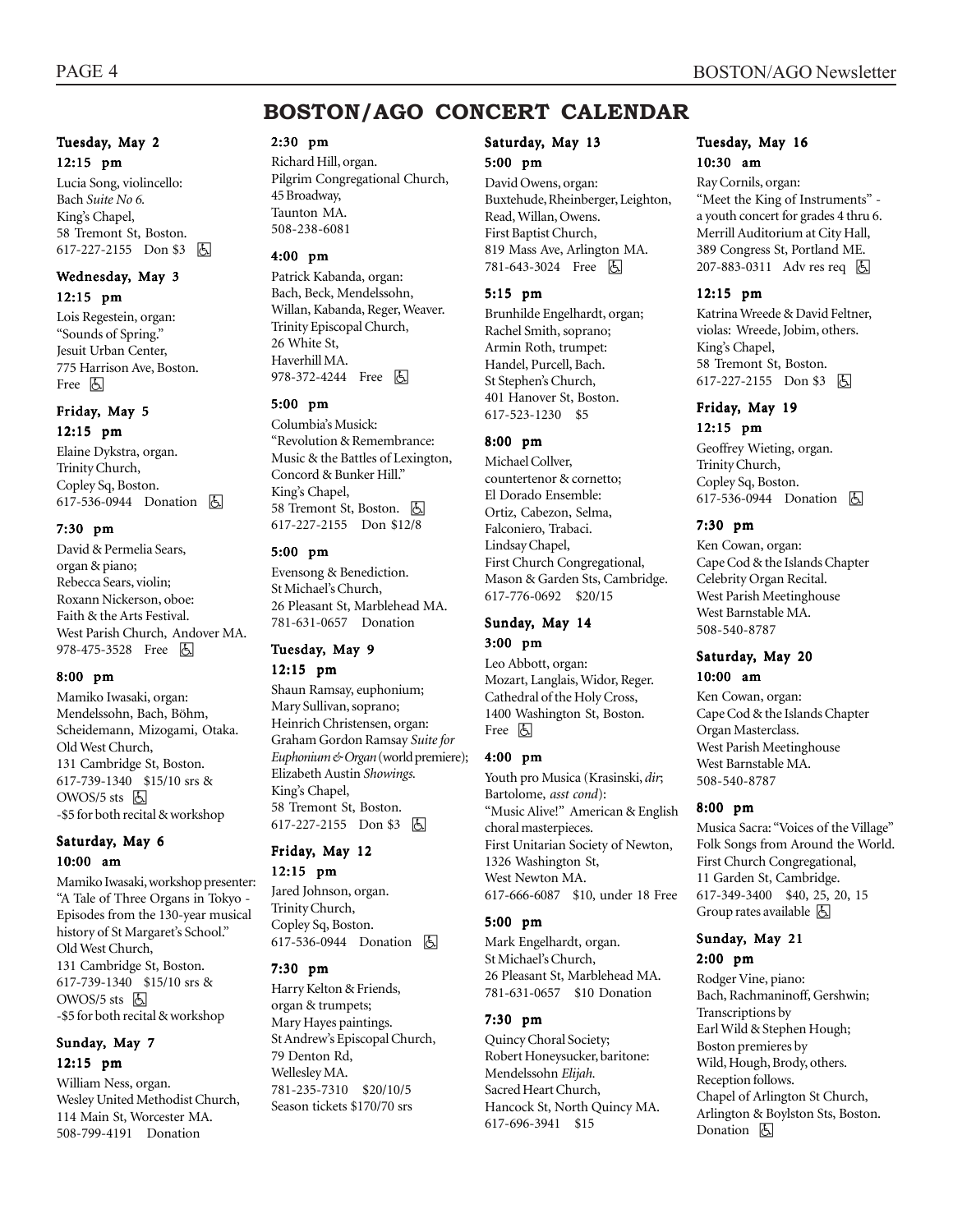# **BOSTON/AGO CONCERT CALENDAR**

#### Tuesday, May 2 12:15 pm

Lucia Song, violincello: Bach *Suite No 6.* King's Chapel, 58 Tremont St, Boston. 617-227-2155 Don \$3 h

#### Wednesday, May 3 12:15 pm

Lois Regestein, organ: "Sounds of Spring." Jesuit Urban Center, 775 Harrison Ave, Boston. Free 因

# Friday, May 5

#### 12:15 pm

Elaine Dykstra, organ. Trinity Church, Copley Sq, Boston. 617-536-0944 Donation **b** 

#### 7:30 pm

David & Permelia Sears, organ & piano; Rebecca Sears, violin; Roxann Nickerson, oboe: Faith & the Arts Festival. West Parish Church, Andover MA. 978-475-3528 Free 因

#### 8:00 pm

Mamiko Iwasaki, organ: Mendelssohn, Bach, Böhm, Scheidemann, Mizogami, Otaka. Old West Church, 131 Cambridge St, Boston. 617-739-1340 \$15/10 srs & OWOS/5 sts  $\sqrt{6}$ -\$5 for both recital & workshop

#### Saturday, May 6 10:00 am

Mamiko Iwasaki, workshop presenter: ìA Tale of Three Organs in Tokyo - Episodes from the 130-year musical history of St Margaret's School." Old West Church, 131 Cambridge St, Boston. 617-739-1340 \$15/10 srs &  $OWOS/5$  sts  $\boxed{5}$ -\$5 for both recital & workshop

#### Sunday, May 7 12:15 pm

William Ness, organ. Wesley United Methodist Church, 114 Main St, Worcester MA. 508-799-4191 Donation

#### 2:30 pm

Richard Hill, organ. Pilgrim Congregational Church, 45 Broadway, Taunton MA. 508-238-6081

#### 4:00 pm

Patrick Kabanda, organ: Bach, Beck, Mendelssohn, Willan, Kabanda, Reger, Weaver. Trinity Episcopal Church, 26 White St, Haverhill MA. 978-372-4244 Free 因

#### 5:00 pm

Columbiaís Musick: ìRevolution & Remembrance: Music & the Battles of Lexington, Concord & Bunker Hill." King's Chapel, 58 Tremont St, Boston.  $\Box$ 617-227-2155 Don \$12/8

#### 5:00 pm

Evensong & Benediction. St Michael's Church, 26 Pleasant St, Marblehead MA. 781-631-0657 Donation

#### Tuesday, May 9 12:15 pm

Shaun Ramsay, euphonium; Mary Sullivan, soprano; Heinrich Christensen, organ: Graham Gordon Ramsay *Suite for Euphonium & Organ* (world premiere); Elizabeth Austin *Showings.* King's Chapel, 58 Tremont St, Boston. 617-227-2155 Don \$3 因

# Friday, May 12

12:15 pm Jared Johnson, organ. Trinity Church, Copley Sq, Boston. 617-536-0944 Donation  $\Box$ 

#### 7:30 pm

Harry Kelton & Friends, organ & trumpets; Mary Hayes paintings. St Andrew's Episcopal Church, 79 Denton Rd, Wellesley MA. 781-235-7310 \$20/10/5 Season tickets \$170/70 srs

## Saturday, May 13

#### 5:00 pm

David Owens, organ: Buxtehude, Rheinberger, Leighton, Read, Willan, Owens. First Baptist Church, 819 Mass Ave, Arlington MA. 781-643-3024 Free 因

#### 5:15 pm

Brunhilde Engelhardt, organ; Rachel Smith, soprano; Armin Roth, trumpet: Handel, Purcell, Bach. St Stephenís Church, 401 Hanover St, Boston. 617-523-1230 \$5

#### 8:00 pm

Michael Collver, countertenor & cornetto; El Dorado Ensemble: Ortiz, Cabezon, Selma, Falconiero, Trabaci. Lindsay Chapel, First Church Congregational, Mason & Garden Sts, Cambridge. 617-776-0692 \$20/15

# Sunday, May 14 3:00 pm

Leo Abbott, organ: Mozart, Langlais, Widor, Reger. Cathedral of the Holy Cross, 1400 Washington St, Boston. Free 因

#### 4:00 pm

Youth pro Musica (Krasinski, *dir*; Bartolome, *asst cond*): ìMusic Alive!î American & English choral masterpieces. First Unitarian Society of Newton, 1326 Washington St, West Newton MA. 617-666-6087 \$10, under 18 Free

#### 5:00 pm

Mark Engelhardt, organ. St Michael's Church, 26 Pleasant St, Marblehead MA. 781-631-0657 \$10 Donation

#### 7:30 pm

Quincy Choral Society; Robert Honeysucker, baritone: Mendelssohn *Elijah.* Sacred Heart Church, Hancock St, North Quincy MA. 617-696-3941 \$15

#### Tuesday, May 16 10:30 am

Ray Cornils, organ: "Meet the King of Instruments" a youth concert for grades 4 thru 6. Merrill Auditorium at City Hall, 389 Congress St, Portland ME. 207-883-0311 Adv res req [5]

#### 12:15 pm

Katrina Wreede & David Feltner, violas: Wreede, Jobim, others. King's Chapel, 58 Tremont St, Boston. 617-227-2155 Don \$3 因

#### Friday, May 19

#### 12:15 pm Geoffrey Wieting, organ. Trinity Church, Copley Sq, Boston. 617-536-0944 Donation **b**

#### 7:30 pm

Ken Cowan, organ: Cape Cod & the Islands Chapter Celebrity Organ Recital. West Parish Meetinghouse West Barnstable MA. 508-540-8787

# Saturday, May 20

#### 10:00 am

Ken Cowan, organ: Cape Cod & the Islands Chapter Organ Masterclass. West Parish Meetinghouse West Barnstable MA. 508-540-8787

#### 8:00 pm

Musica Sacra: "Voices of the Village" Folk Songs from Around the World. First Church Congregational, 11 Garden St, Cambridge. 617-349-3400 \$40, 25, 20, 15 Group rates available  $\boxtimes$ 

#### Sunday, May 21 2:00 pm

Rodger Vine, piano: Bach, Rachmaninoff, Gershwin; Transcriptions by Earl Wild & Stephen Hough; Boston premieres by Wild, Hough, Brody, others. Reception follows. Chapel of Arlington St Church, Arlington & Boylston Sts, Boston. Donation  $\boxed{6}$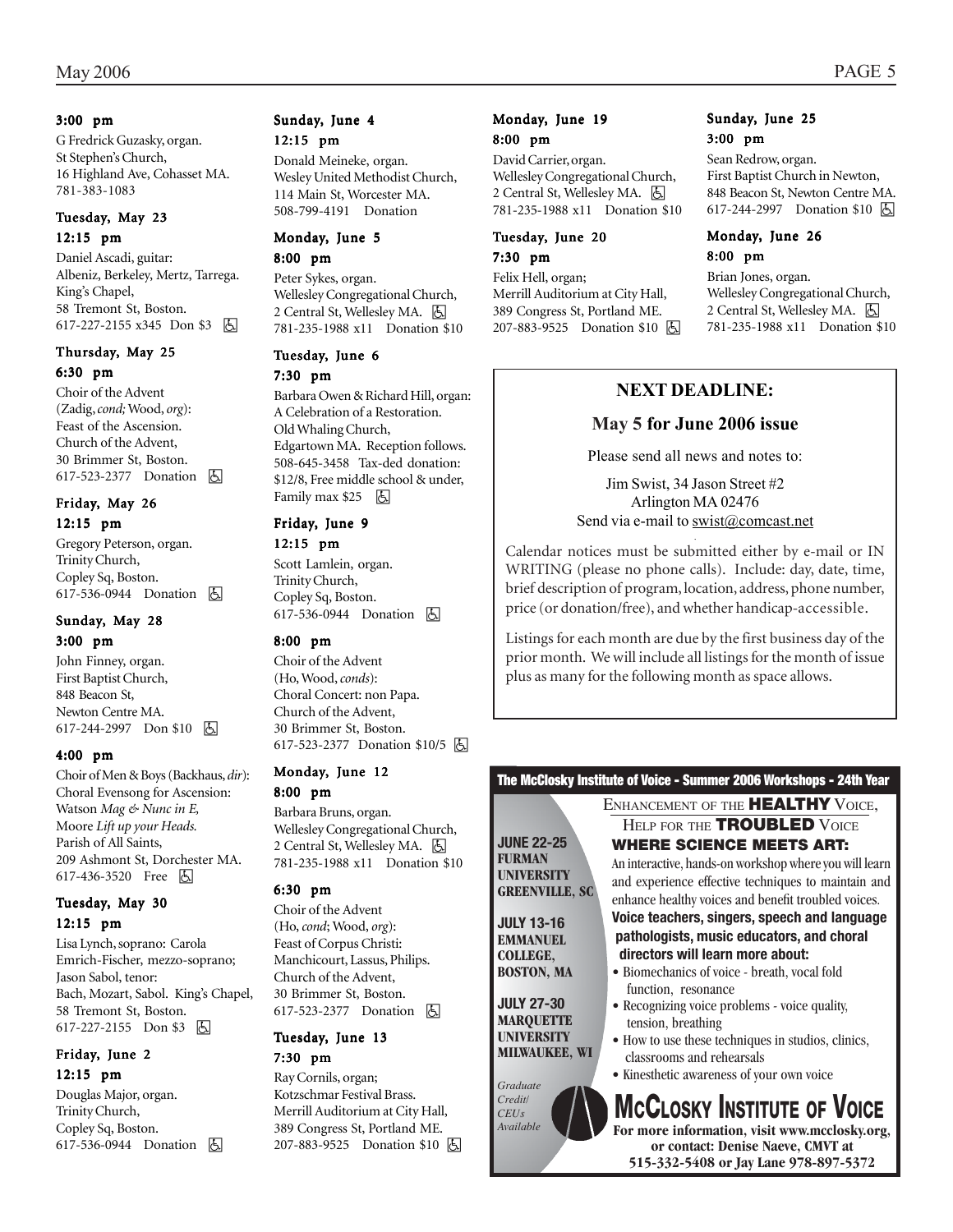#### 3:00 pm

G Fredrick Guzasky, organ. St Stephenís Church, 16 Highland Ave, Cohasset MA. 781-383-1083

#### Tuesday, May 23 12:15 pm

Daniel Ascadi, guitar: Albeniz, Berkeley, Mertz, Tarrega. King's Chapel, 58 Tremont St, Boston. 617-227-2155 x345 Don \$3 h

#### Thursday, May 25 6:30 pm

Choir of the Advent (Zadig, *cond;* Wood, *org*): Feast of the Ascension. Church of the Advent, 30 Brimmer St, Boston. 617-523-2377 Donation **A** 

#### Friday, May 26 12:15 pm

Gregory Peterson, organ. Trinity Church, Copley Sq, Boston. 617-536-0944 Donation **b** 

#### Sunday, May 28 3:00 pm

John Finney, organ. First Baptist Church, 848 Beacon St, Newton Centre MA. 617-244-2997 Don \$10 因

#### 4:00 pm

Choir of Men & Boys (Backhaus, *dir*): Choral Evensong for Ascension: Watson *Mag & Nunc in E,* Moore *Lift up your Heads.* Parish of All Saints, 209 Ashmont St, Dorchester MA. 617-436-3520 Free 因

#### Tuesday, May 30 12:15 pm

Lisa Lynch, soprano: Carola Emrich-Fischer, mezzo-soprano; Jason Sabol, tenor: Bach, Mozart, Sabol. King's Chapel, 58 Tremont St, Boston. 617-227-2155 Don \$3 h

#### Friday, June 2 12:15 pm

Douglas Major, organ. Trinity Church, Copley Sq, Boston. 617-536-0944 Donation **b** 

#### Sunday, June 4 12:15 pm

Donald Meineke, organ. Wesley United Methodist Church, 114 Main St, Worcester MA. 508-799-4191 Donation

#### Monday, June 5 8:00 pm

Peter Sykes, organ. Wellesley Congregational Church, 2 Central St, Wellesley MA.  $\Box$ 781-235-1988 x11 Donation \$10

#### Tuesday, June 6

7:30 pm

Barbara Owen & Richard Hill, organ: A Celebration of a Restoration. Old Whaling Church, Edgartown MA. Reception follows. 508-645-3458 Tax-ded donation: \$12/8, Free middle school & under, Family max  $$25$   $\Box$ 

#### Friday, June 9

#### 12:15 pm

Scott Lamlein, organ. Trinity Church, Copley Sq, Boston. 617-536-0944 Donation **b** 

#### 8:00 pm

Choir of the Advent (Ho, Wood, *conds*): Choral Concert: non Papa. Church of the Advent, 30 Brimmer St, Boston. 617-523-2377 Donation \$10/5 **b** 

#### Monday, June 12

8:00 pm Barbara Bruns, organ.

Wellesley Congregational Church, 2 Central St, Wellesley MA. [5] 781-235-1988 x11 Donation \$10

#### 6:30 pm

Choir of the Advent (Ho, *cond*; Wood, *org*): Feast of Corpus Christi: Manchicourt, Lassus, Philips. Church of the Advent, 30 Brimmer St, Boston. 617-523-2377 Donation **b** 

# Tuesday, June 13

## 7:30 pm

Ray Cornils, organ; Kotzschmar Festival Brass. Merrill Auditorium at City Hall, 389 Congress St, Portland ME. 207-883-9525 Donation \$10 因

#### Monday, June 19 8:00 pm

David Carrier, organ. Wellesley Congregational Church, 2 Central St, Wellesley MA. **b** 781-235-1988 x11 Donation \$10

#### Tuesday, June 20 7:30 pm

Felix Hell, organ; Merrill Auditorium at City Hall, 389 Congress St, Portland ME. 207-883-9525 Donation \$10 因

#### Sunday, June 25 3:00 pm

Sean Redrow, organ. First Baptist Church in Newton, 848 Beacon St, Newton Centre MA. 617-244-2997 Donation \$10 | A

#### Monday, June 26 8:00 pm

Brian Jones, organ. Wellesley Congregational Church, 2 Central St, Wellesley MA. [5] 781-235-1988 x11 Donation \$10

## **NEXT DEADLINE:**

#### **May 5 for June 2006 issue**

Please send all news and notes to:

Jim Swist, 34 Jason Street #2 Arlington MA 02476 Send via e-mail to swist@comcast.net

Calendar notices must be submitted either by e-mail or IN WRITING (please no phone calls). Include: day, date, time, brief description of program, location, address, phone number, price (or donation/free), and whether handicap-accessible.

Listings for each month are due by the first business day of the prior month. We will include all listings for the month of issue plus as many for the following month as space allows.

#### **The McClosky Institute of Voice - Summer 2006 Workshops - 24th Year**

**MCCLOSKY INSTITUTE OF VOICE**<br>For more information, visit www.mcclosky.org, ENHANCEMENT OF THE **HEALTHY** VOICE, HELP FOR THE **TROUBLED** VOICE **WHERE SCIENCE MEETS ART:** An interactive, hands-on workshop where you will learn and experience effective techniques to maintain and enhance healthy voices and benefit troubled voices. **Voice teachers, singers, speech and language pathologists, music educators, and choral directors will learn more about:** • Biomechanics of voice - breath, vocal fold function, resonance • Recognizing voice problems - voice quality, tension, breathing • How to use these techniques in studios, clinics, classrooms and rehearsals • Kinesthetic awareness of your own voice **BOSTON, MA JULY 27-30 MARQUETTE MILWALIKEE MILWAUKEE, WI** *Graduate Available* or contact: Denise Naeve, **CMVT** at **or contact: Denise Prince 978-897-52 515-332-5408 or Jay Lane 978-897-5372**

**JUNE 22-25 FURMAN UNIVERSITY GREENVILLE, SC GREEN JULY 13-16 EMMANUEL ROSTON.** 

*Credit/ CEUs*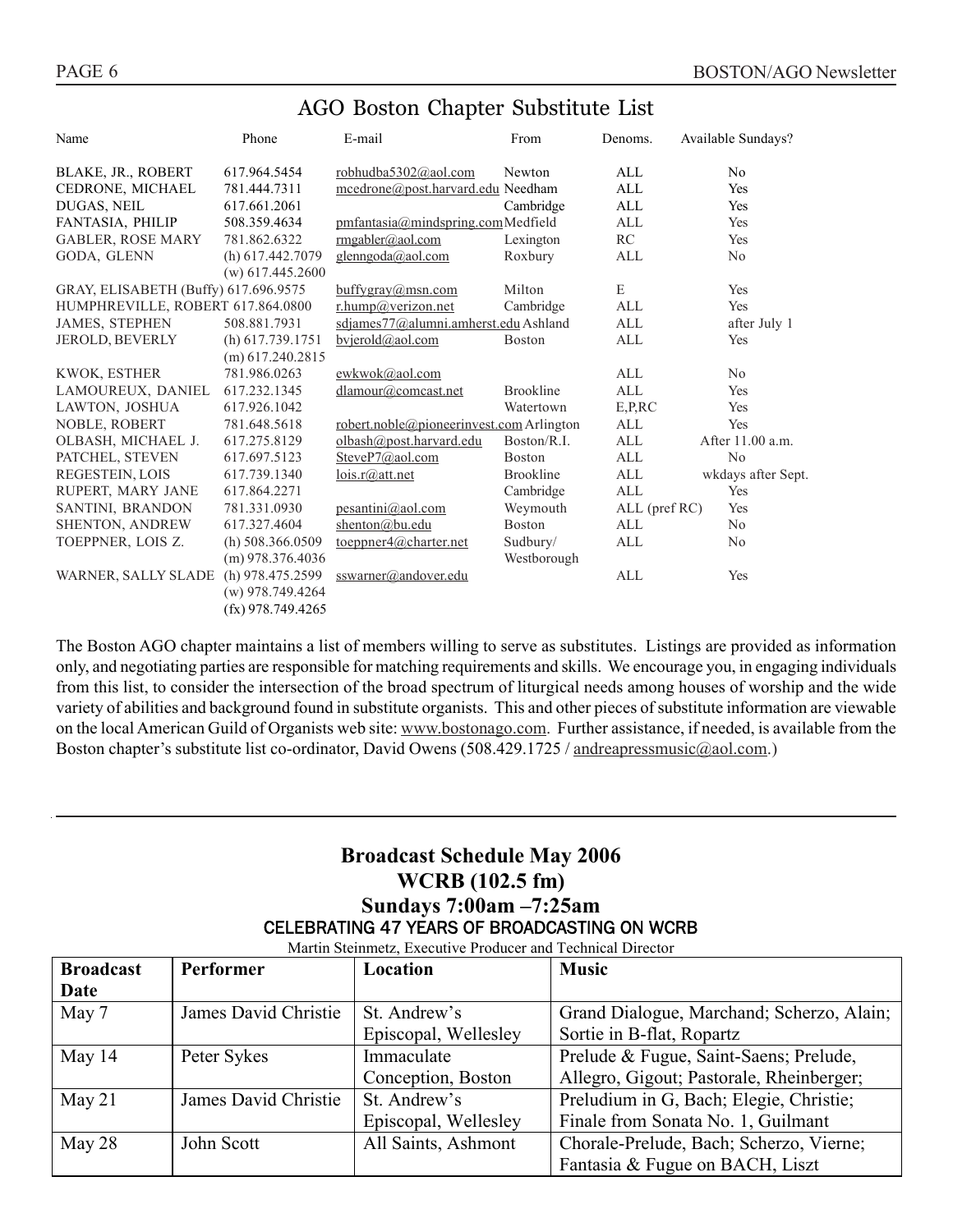| Name                                 | Phone               | E-mail                                       | From             | Denoms.       | Available Sundays? |
|--------------------------------------|---------------------|----------------------------------------------|------------------|---------------|--------------------|
| BLAKE, JR., ROBERT                   | 617.964.5454        | robhudba5302@aol.com                         | Newton           | ALL           | N <sub>0</sub>     |
| CEDRONE, MICHAEL                     | 781.444.7311        | mcedrone@post.harvard.edu Needham            |                  | ALL           | Yes                |
| DUGAS, NEIL                          | 617.661.2061        |                                              | Cambridge        | ALL           | Yes                |
| <b>FANTASIA, PHILIP</b>              | 508.359.4634        | pmfantasia@mindspring.comMedfield            |                  | ALL           | Yes                |
| <b>GABLER, ROSE MARY</b>             | 781.862.6322        | rmgabler@aol.com                             | Lexington        | RC            | Yes                |
| GODA, GLENN                          | $(h)$ 617.442.7079  | glenngoda@aol.com                            | Roxbury          | ALL           | No                 |
|                                      | $(w)$ 617.445.2600  |                                              |                  |               |                    |
| GRAY, ELISABETH (Buffy) 617.696.9575 |                     | butfygray@msn.com                            | Milton           | E             | Yes                |
| HUMPHREVILLE, ROBERT 617.864.0800    |                     | $r$ .hump@verizon.net                        | Cambridge        | ALL           | Yes                |
| <b>JAMES, STEPHEN</b>                | 508.881.7931        | sdjames77@alumni.amherst.edu Ashland         |                  | ALL           | after July 1       |
| <b>JEROLD, BEVERLY</b>               | $(h)$ 617.739.1751  | bvjerold@aol.com                             | <b>Boston</b>    | ALL           | Yes                |
|                                      | $(m)$ 617.240.2815  |                                              |                  |               |                    |
| KWOK, ESTHER                         | 781.986.0263        | ewkwok@aol.com                               |                  | ALL           | No                 |
| LAMOUREUX, DANIEL                    | 617.232.1345        | dlamour@comcast.net                          | <b>Brookline</b> | ALL           | Yes                |
| LAWTON, JOSHUA                       | 617.926.1042        |                                              | Watertown        | E, P, RC      | Yes                |
| NOBLE, ROBERT                        | 781.648.5618        | $robert.noble @ pioneerinvest.com$ Arlington |                  | ALL           | Yes                |
| OLBASH. MICHAEL J.                   | 617.275.8129        | olbash@post.harvard.edu                      | Boston/R.I.      | ALL           | After 11.00 a.m.   |
| PATCHEL, STEVEN                      | 617.697.5123        | SteveP7@aol.com                              | Boston           | ALL           | No                 |
| <b>REGESTEIN, LOIS</b>               | 617.739.1340        | lois.r@att.net                               | <b>Brookline</b> | ALL           | wkdays after Sept. |
| RUPERT, MARY JANE                    | 617.864.2271        |                                              | Cambridge        | ALL           | Yes                |
| SANTINI, BRANDON                     | 781.331.0930        | pesantini@aol.com                            | Weymouth         | ALL (pref RC) | Yes                |
| SHENTON, ANDREW                      | 617.327.4604        | shenton@bu.edu                               | <b>Boston</b>    | ALL           | N <sub>0</sub>     |
| TOEPPNER, LOIS Z.                    | (h) $508.366.0509$  | toeppner4@charter.net                        | Sudbury/         | ALL           | N <sub>0</sub>     |
|                                      | $(m)$ 978.376.4036  |                                              | Westborough      |               |                    |
| WARNER, SALLY SLADE                  | (h) 978.475.2599    | sswarner@andover.edu                         |                  | ALL           | Yes                |
|                                      | $(w)$ 978.749.4264  |                                              |                  |               |                    |
|                                      | $(fx)$ 978.749.4265 |                                              |                  |               |                    |
|                                      |                     |                                              |                  |               |                    |

# AGO Boston Chapter Substitute List

The Boston AGO chapter maintains a list of members willing to serve as substitutes. Listings are provided as information only, and negotiating parties are responsible for matching requirements and skills. We encourage you, in engaging individuals from this list, to consider the intersection of the broad spectrum of liturgical needs among houses of worship and the wide variety of abilities and background found in substitute organists. This and other pieces of substitute information are viewable on the local American Guild of Organists web site: www.bostonago.com. Further assistance, if needed, is available from the Boston chapter's substitute list co-ordinator, David Owens (508.429.1725 / andreapressmusic@aol.com.)

# **Broadcast Schedule May 2006 WCRB (102.5 fm) Sundays 7:00am -7:25am** CELEBRATING 47 YEARS OF BROADCASTING ON WCRB

Martin Steinmetz, Executive Producer and Technical Director

| <b>Broadcast</b> | Performer            | Location                                                  | <b>Music</b>                             |
|------------------|----------------------|-----------------------------------------------------------|------------------------------------------|
| Date             |                      |                                                           |                                          |
| May 7            | James David Christie | St. Andrew's<br>Grand Dialogue, Marchand; Scherzo, Alain; |                                          |
|                  |                      | Episcopal, Wellesley                                      | Sortie in B-flat, Ropartz                |
| May 14           | Peter Sykes          | Prelude & Fugue, Saint-Saens; Prelude,<br>Immaculate      |                                          |
|                  |                      | Conception, Boston                                        | Allegro, Gigout; Pastorale, Rheinberger; |
| May $21$         | James David Christie | Preludium in G, Bach; Elegie, Christie;<br>St. Andrew's   |                                          |
|                  |                      | Episcopal, Wellesley                                      | Finale from Sonata No. 1, Guilmant       |
| May 28           | John Scott           | All Saints, Ashmont                                       | Chorale-Prelude, Bach; Scherzo, Vierne;  |
|                  |                      |                                                           | Fantasia & Fugue on BACH, Liszt          |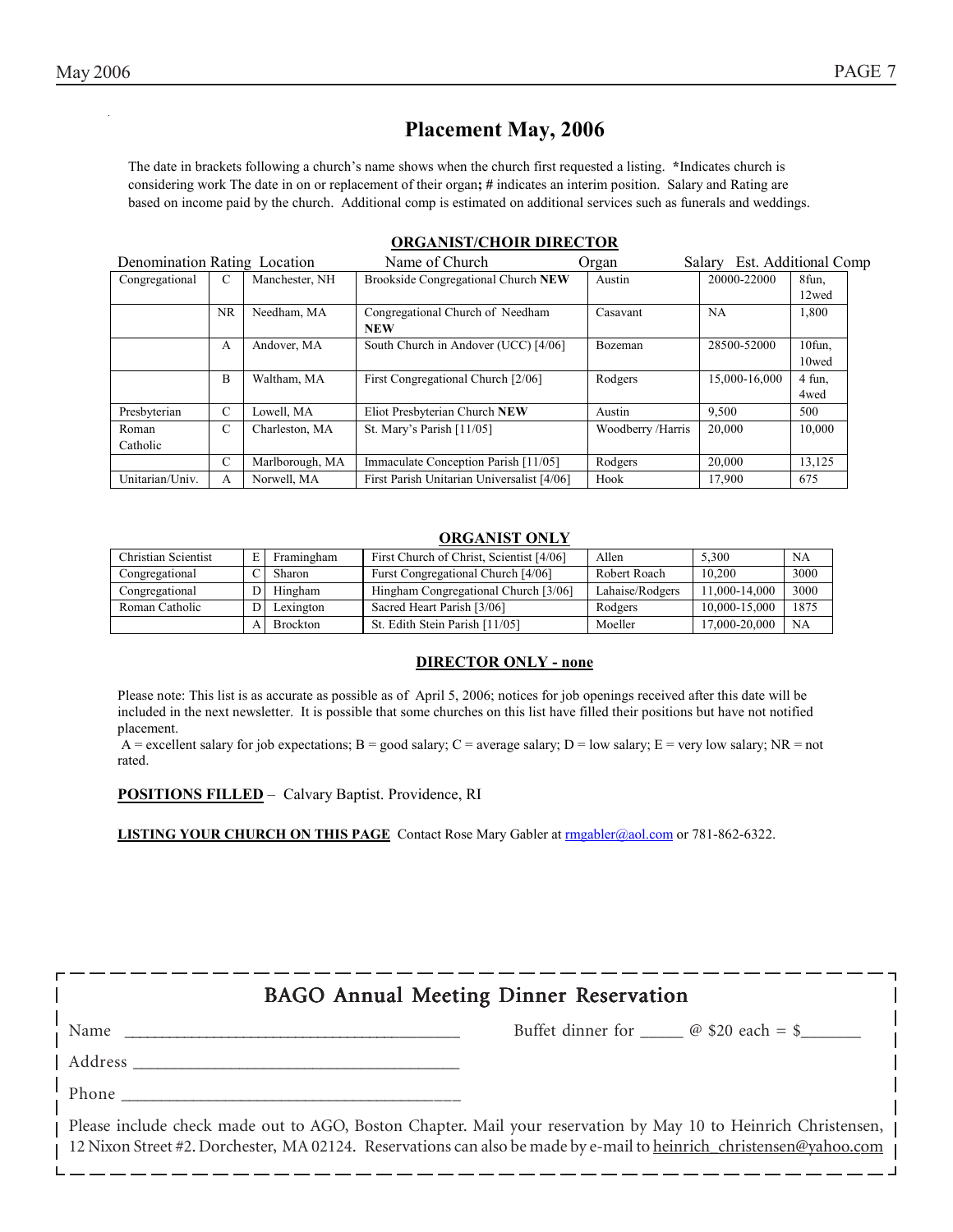# **Placement May, 2006**

The date in brackets following a church's name shows when the church first requested a listing. \*Indicates church is considering work The date in on or replacement of their organ**; #** indicates an interim position. Salary and Rating are based on income paid by the church. Additional comp is estimated on additional services such as funerals and weddings.

| Denomination Rating Location |                     |                 | Name of Church                             | Organ             | Salary        | Est. Additional Comp |
|------------------------------|---------------------|-----------------|--------------------------------------------|-------------------|---------------|----------------------|
| Congregational               | C<br>Manchester, NH |                 | Brookside Congregational Church NEW        | Austin            | 20000-22000   | 8fun.                |
|                              |                     |                 |                                            |                   |               | 12wed                |
|                              | NR.                 | Needham, MA     | Congregational Church of Needham           | Casavant          | NA            | 1,800                |
|                              |                     |                 | <b>NEW</b>                                 |                   |               |                      |
|                              | A                   | Andover, MA     | South Church in Andover (UCC) [4/06]       | Bozeman           | 28500-52000   | 10fun,               |
|                              |                     |                 |                                            |                   |               | 10wed                |
|                              | B                   | Waltham, MA     | First Congregational Church [2/06]         | Rodgers           | 15,000-16,000 | $4$ fun.             |
|                              |                     |                 |                                            |                   |               | 4wed                 |
| Presbyterian                 | Ċ                   | Lowell, MA      | Eliot Presbyterian Church NEW              | Austin            | 9,500         | 500                  |
| Roman                        | C                   | Charleston, MA  | St. Mary's Parish $[11/05]$                | Woodberry /Harris | 20,000        | 10,000               |
| Catholic                     |                     |                 |                                            |                   |               |                      |
|                              | Ċ                   | Marlborough, MA | Immaculate Conception Parish [11/05]       | Rodgers           | 20,000        | 13,125               |
| Unitarian/Univ.              | A                   | Norwell, MA     | First Parish Unitarian Universalist [4/06] | Hook              | 17.900        | 675                  |

#### **ORGANIST/CHOIR DIRECTOR**

#### **ORGANIST ONLY**

| Christian Scientist |    | Framingham      | First Church of Christ, Scientist [4/06] | Allen           | 5.300         | NA.  |
|---------------------|----|-----------------|------------------------------------------|-----------------|---------------|------|
| Congregational      |    | Sharon          | Furst Congregational Church [4/06]       | Robert Roach    | 10.200        | 3000 |
| Congregational      | DΙ | Hingham         | Hingham Congregational Church [3/06]     | Lahaise/Rodgers | 11.000-14.000 | 3000 |
| Roman Catholic      | D. | Lexington       | Sacred Heart Parish [3/06]               | Rodgers         | 10,000-15,000 | 1875 |
|                     |    | <b>Brockton</b> | St. Edith Stein Parish [11/05]           | Moeller         | 17.000-20.000 | NA   |

#### **DIRECTOR ONLY - none**

Please note: This list is as accurate as possible as of April 5, 2006; notices for job openings received after this date will be included in the next newsletter. It is possible that some churches on this list have filled their positions but have not notified placement.

A = excellent salary for job expectations; B = good salary; C = average salary; D = low salary; E = very low salary; NR = not rated.

POSITIONS FILLED - Calvary Baptist. Providence, RI

**LISTING YOUR CHURCH ON THIS PAGE** Contact Rose Mary Gabler at rmgabler@aol.com or 781-862-6322.

| <b>BAGO Annual Meeting Dinner Reservation</b>                                                                                                                                                                                           |  |  |  |  |
|-----------------------------------------------------------------------------------------------------------------------------------------------------------------------------------------------------------------------------------------|--|--|--|--|
| Buffet dinner for _______ @ \$20 each = \$________<br>Name                                                                                                                                                                              |  |  |  |  |
| Address ____                                                                                                                                                                                                                            |  |  |  |  |
| Phone                                                                                                                                                                                                                                   |  |  |  |  |
| Please include check made out to AGO, Boston Chapter. Mail your reservation by May 10 to Heinrich Christensen, 1<br>12 Nixon Street #2. Dorchester, MA 02124. Reservations can also be made by e-mail to heinrich christensen@yahoo.com |  |  |  |  |